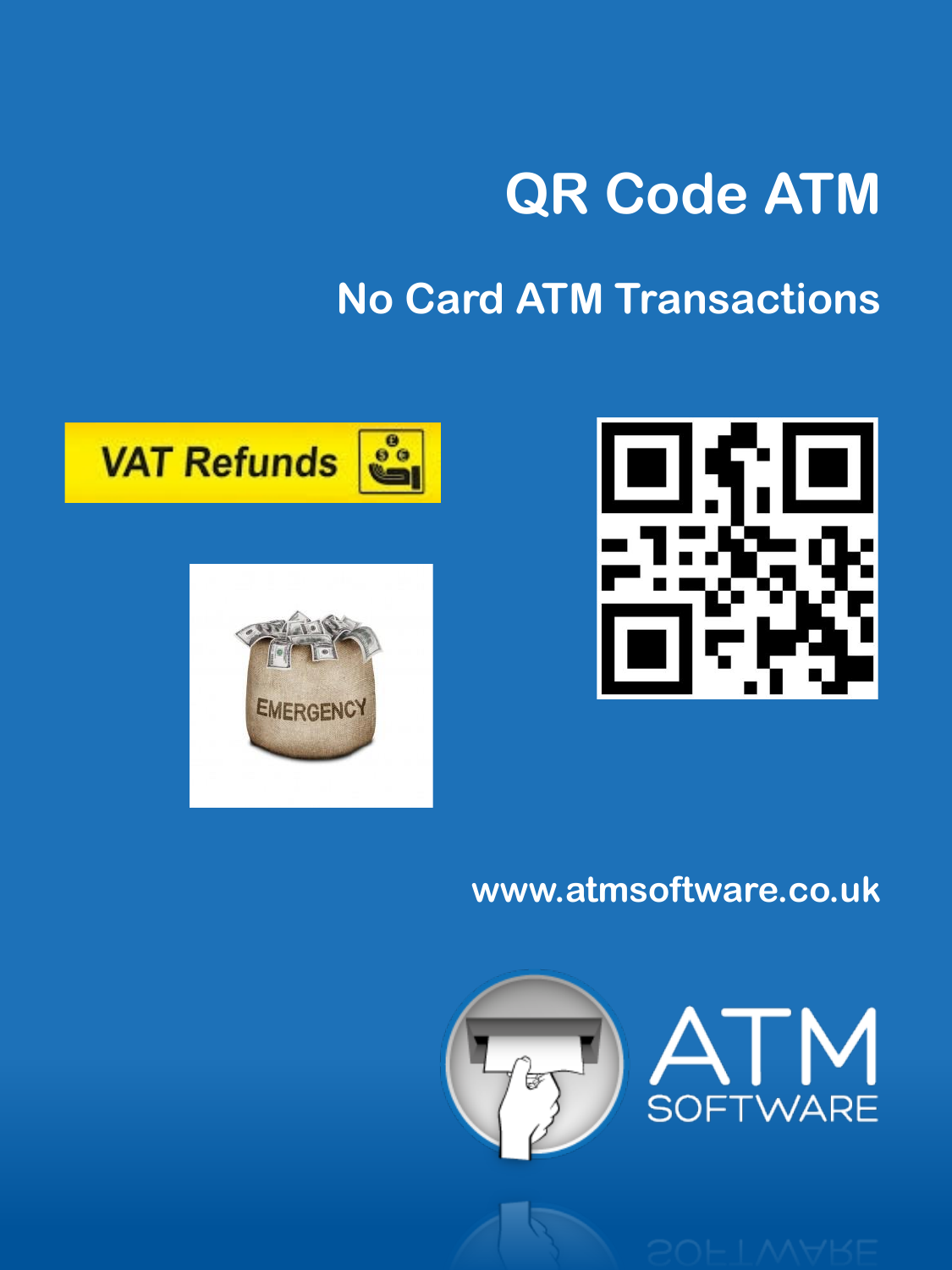# **QR Code ATM**

## **No Card ATM Transactions**







### **www.atmsoftware.co.uk**



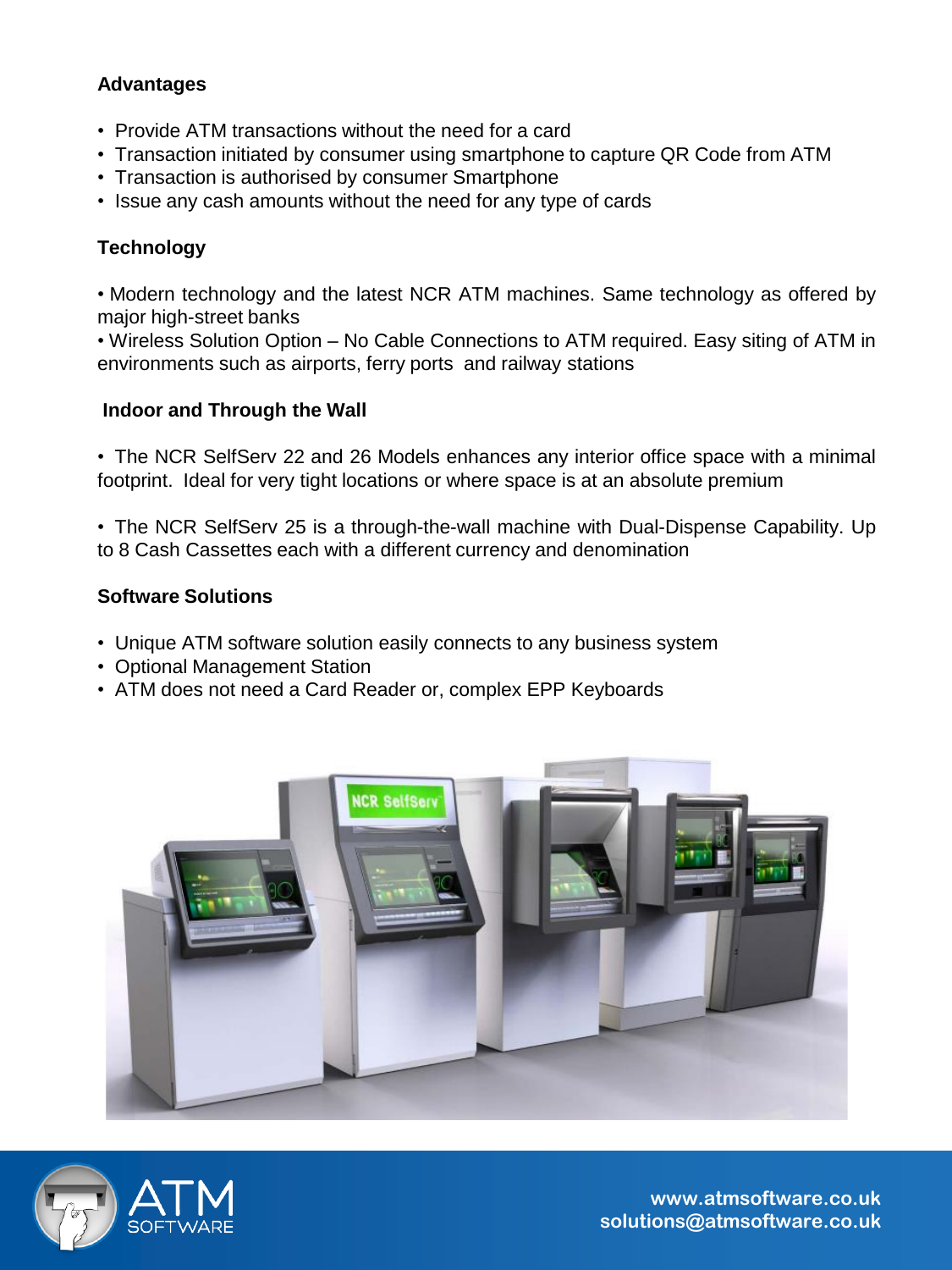#### **Advantages**

- Provide ATM transactions without the need for a card
- Transaction initiated by consumer using smartphone to capture QR Code from ATM
- Transaction is authorised by consumer Smartphone
- Issue any cash amounts without the need for any type of cards

#### **Technology**

• Modern technology and the latest NCR ATM machines. Same technology as offered by major high-street banks

• Wireless Solution Option – No Cable Connections to ATM required. Easy siting of ATM in environments such as airports, ferry ports and railway stations

#### **Indoor and Through the Wall**

• The NCR SelfServ 22 and 26 Models enhances any interior office space with a minimal footprint. Ideal for very tight locations or where space is at an absolute premium

• The NCR SelfServ 25 is a through-the-wall machine with Dual-Dispense Capability. Up to 8 Cash Cassettes each with a different currency and denomination

#### **Software Solutions**

- Unique ATM software solution easily connects to any business system
- Optional Management Station
- ATM does not need a Card Reader or, complex EPP Keyboards





**www.atmsoftware.co.uk solutions@atmsoftware.co.uk**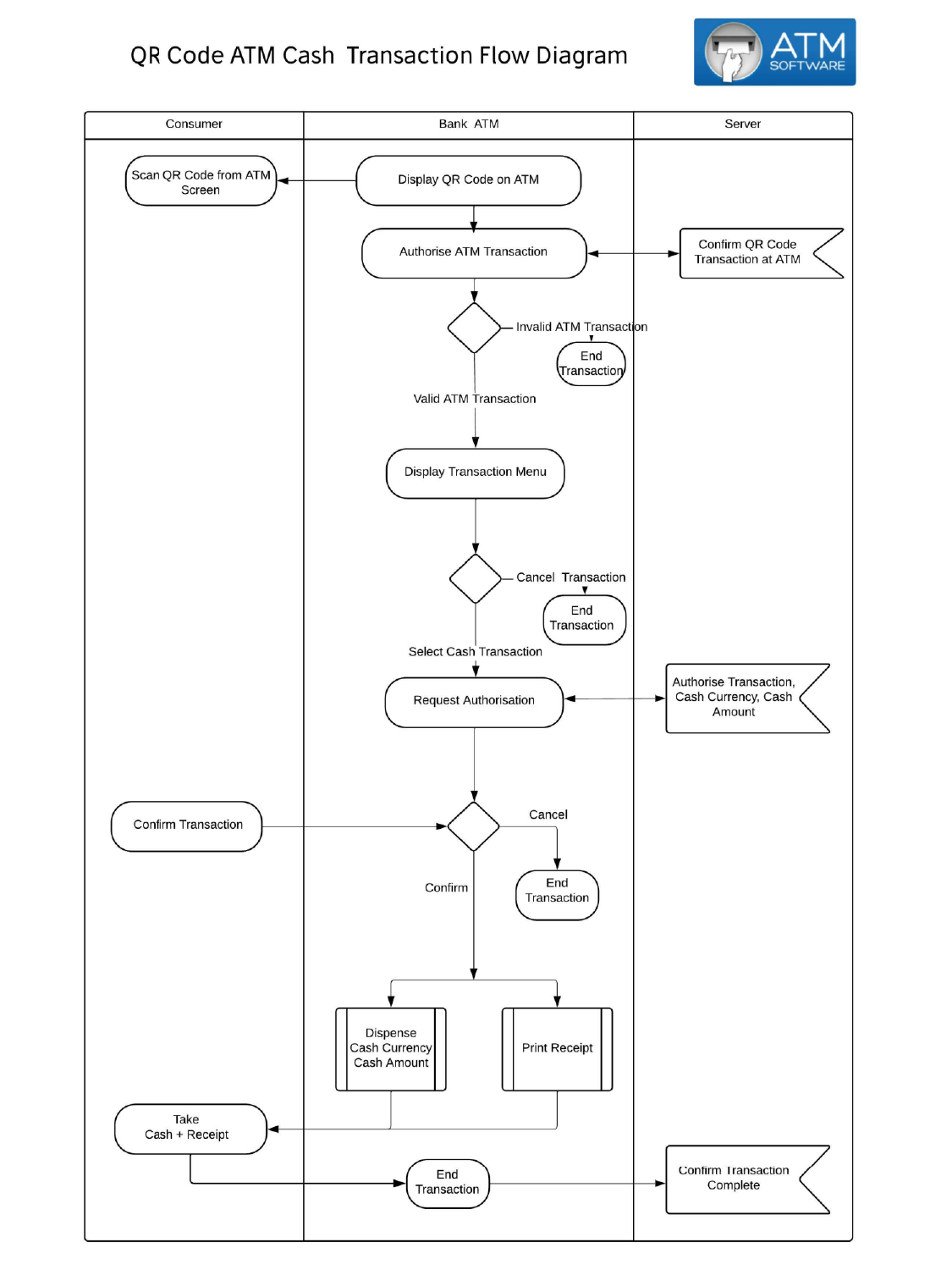#### QR Code ATM Cash Transaction Flow Diagram